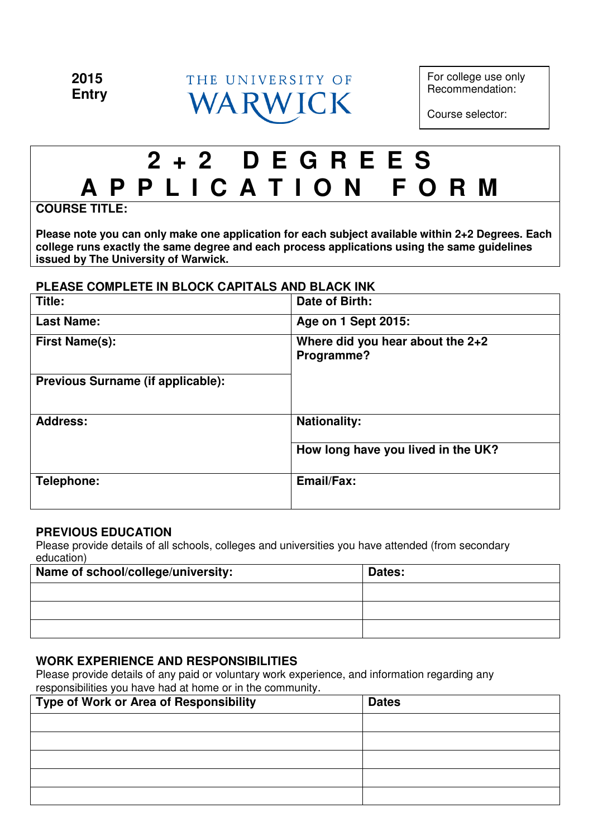

For college use only Recommendation:

Course selector:

# **2 + 2 D E G R E E S A P P L I C A T I O N F O R M**

**COURSE TITLE:** 

**Please note you can only make one application for each subject available within 2+2 Degrees. Each college runs exactly the same degree and each process applications using the same guidelines issued by The University of Warwick.**

# **PLEASE COMPLETE IN BLOCK CAPITALS AND BLACK INK**

| Title:                            | Date of Birth:                                 |  |
|-----------------------------------|------------------------------------------------|--|
| <b>Last Name:</b>                 | Age on 1 Sept 2015:                            |  |
| <b>First Name(s):</b>             | Where did you hear about the 2+2<br>Programme? |  |
| Previous Surname (if applicable): |                                                |  |
| <b>Address:</b>                   | <b>Nationality:</b>                            |  |
|                                   | How long have you lived in the UK?             |  |
| Telephone:                        | Email/Fax:                                     |  |

# **PREVIOUS EDUCATION**

Please provide details of all schools, colleges and universities you have attended (from secondary education)

| Name of school/college/university: | Dates: |
|------------------------------------|--------|
|                                    |        |
|                                    |        |
|                                    |        |

# **WORK EXPERIENCE AND RESPONSIBILITIES**

Please provide details of any paid or voluntary work experience, and information regarding any responsibilities you have had at home or in the community.

| Type of Work or Area of Responsibility | <b>Dates</b> |
|----------------------------------------|--------------|
|                                        |              |
|                                        |              |
|                                        |              |
|                                        |              |
|                                        |              |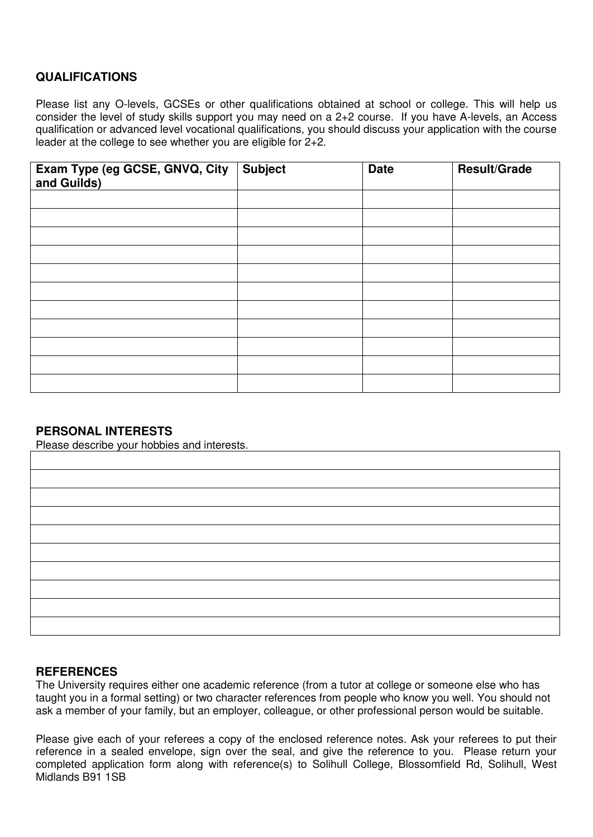# **QUALIFICATIONS**

Please list any O-levels, GCSEs or other qualifications obtained at school or college. This will help us consider the level of study skills support you may need on a 2+2 course. If you have A-levels, an Access qualification or advanced level vocational qualifications, you should discuss your application with the course leader at the college to see whether you are eligible for 2+2.

| Exam Type (eg GCSE, GNVQ, City<br>and Guilds) | <b>Subject</b> | <b>Date</b> | <b>Result/Grade</b> |
|-----------------------------------------------|----------------|-------------|---------------------|
|                                               |                |             |                     |
|                                               |                |             |                     |
|                                               |                |             |                     |
|                                               |                |             |                     |
|                                               |                |             |                     |
|                                               |                |             |                     |
|                                               |                |             |                     |
|                                               |                |             |                     |
|                                               |                |             |                     |
|                                               |                |             |                     |
|                                               |                |             |                     |

# **PERSONAL INTERESTS**

Please describe your hobbies and interests.

#### **REFERENCES**

The University requires either one academic reference (from a tutor at college or someone else who has taught you in a formal setting) or two character references from people who know you well. You should not ask a member of your family, but an employer, colleague, or other professional person would be suitable.

Please give each of your referees a copy of the enclosed reference notes. Ask your referees to put their reference in a sealed envelope, sign over the seal, and give the reference to you. Please return your completed application form along with reference(s) to Solihull College, Blossomfield Rd, Solihull, West Midlands B91 1SB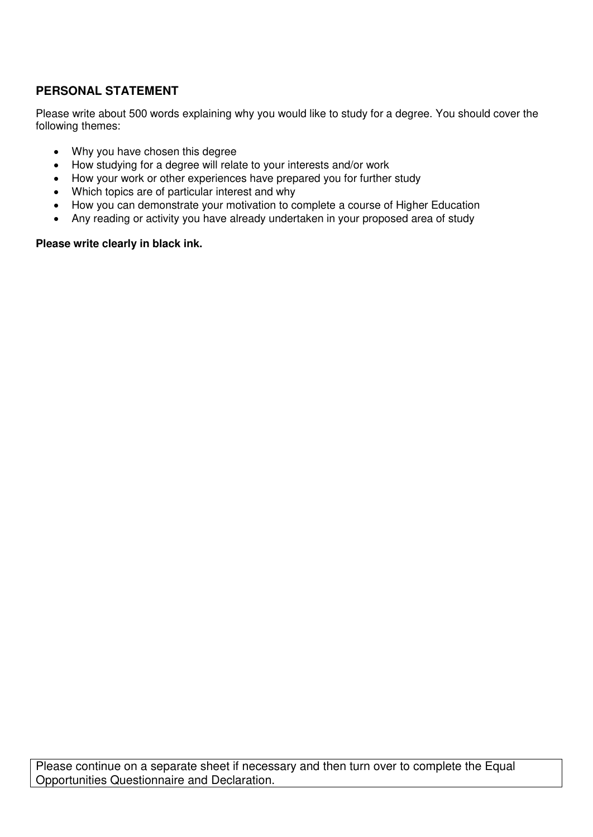# **PERSONAL STATEMENT**

Please write about 500 words explaining why you would like to study for a degree. You should cover the following themes:

- Why you have chosen this degree
- How studying for a degree will relate to your interests and/or work
- How your work or other experiences have prepared you for further study
- Which topics are of particular interest and why
- How you can demonstrate your motivation to complete a course of Higher Education
- Any reading or activity you have already undertaken in your proposed area of study

#### **Please write clearly in black ink.**

Please continue on a separate sheet if necessary and then turn over to complete the Equal Opportunities Questionnaire and Declaration.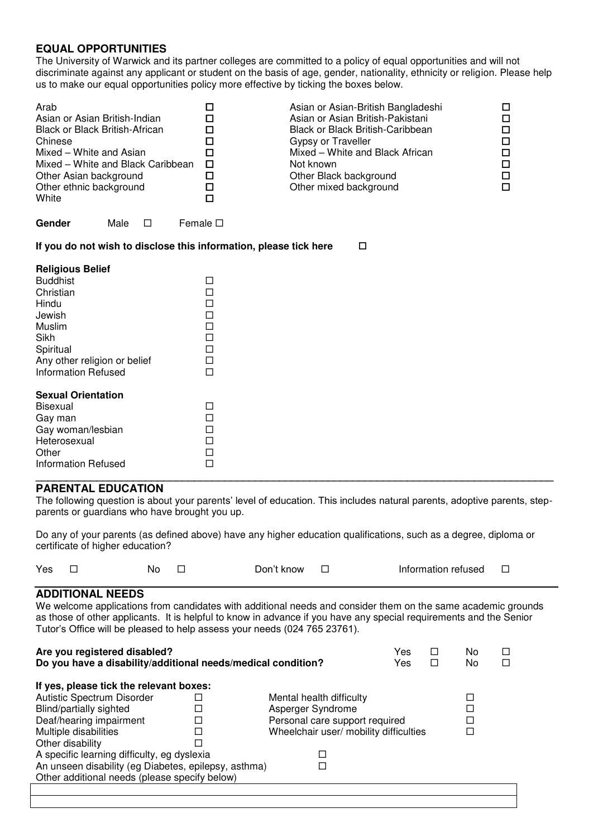## **EQUAL OPPORTUNITIES**

The University of Warwick and its partner colleges are committed to a policy of equal opportunities and will not discriminate against any applicant or student on the basis of age, gender, nationality, ethnicity or religion. Please help us to make our equal opportunities policy more effective by ticking the boxes below.

| Arab<br>Asian or Asian British-Indian<br><b>Black or Black British-African</b><br>Chinese<br>Mixed - White and Asian<br>Mixed - White and Black Caribbean<br>Other Asian background<br>Other ethnic background<br>White | □<br>□<br>$\Box$<br>$\Box$<br>$\Box$<br>$\Box$<br>$\Box$<br>$\Box$<br>П | Asian or Asian-British Bangladeshi<br>Asian or Asian British-Pakistani<br>Black or Black British-Caribbean<br>Gypsy or Traveller<br>Mixed - White and Black African<br>Not known<br>Other Black background<br>Other mixed background | □<br>□<br>$\Box$<br>□<br>□<br>□<br>$\Box$<br>$\Box$ |
|-------------------------------------------------------------------------------------------------------------------------------------------------------------------------------------------------------------------------|-------------------------------------------------------------------------|--------------------------------------------------------------------------------------------------------------------------------------------------------------------------------------------------------------------------------------|-----------------------------------------------------|
| Gender<br>Male<br>$\Box$                                                                                                                                                                                                | Female $\square$                                                        |                                                                                                                                                                                                                                      |                                                     |
| If you do not wish to disclose this information, please tick here                                                                                                                                                       |                                                                         | $\Box$                                                                                                                                                                                                                               |                                                     |
| <b>Religious Belief</b><br><b>Buddhist</b><br>Christian<br>Hindu<br>Jewish<br>Muslim<br>Sikh<br>Spiritual<br>Any other religion or belief<br><b>Information Refused</b>                                                 | □<br>$\Box$<br>□<br>$\Box$<br>$\Box$<br>□<br>□<br>□<br>$\Box$           |                                                                                                                                                                                                                                      |                                                     |
| <b>Sexual Orientation</b><br><b>Bisexual</b><br>Gay man<br>Gay woman/lesbian<br>Heterosexual<br>Other<br><b>Information Refused</b>                                                                                     | □<br>□<br>□<br>$\Box$<br>$\Box$<br>$\Box$                               |                                                                                                                                                                                                                                      |                                                     |

#### **\_\_\_\_\_\_\_\_\_\_\_\_\_\_\_\_\_\_\_\_\_\_\_\_\_\_\_\_\_\_\_\_\_\_\_\_\_\_\_\_\_\_\_\_\_\_\_\_\_\_\_\_\_\_\_\_\_\_\_\_\_\_\_\_\_\_\_\_\_\_\_\_\_\_\_\_\_\_\_\_\_\_\_\_\_ PARENTAL EDUCATION**

The following question is about your parents' level of education. This includes natural parents, adoptive parents, stepparents or guardians who have brought you up.

Do any of your parents (as defined above) have any higher education qualifications, such as a degree, diploma or certificate of higher education?

| Yes | No. | Don't know | Information refused |  |
|-----|-----|------------|---------------------|--|
|     |     |            |                     |  |

#### **ADDITIONAL NEEDS**

We welcome applications from candidates with additional needs and consider them on the same academic grounds as those of other applicants. It is helpful to know in advance if you have any special requirements and the Senior Tutor's Office will be pleased to help assess your needs (024 765 23761).

| Are you registered disabled?<br>Do you have a disability/additional needs/medical condition? |  |                                | Yes<br>Yes | □<br>□ | No<br>No |  |
|----------------------------------------------------------------------------------------------|--|--------------------------------|------------|--------|----------|--|
| If yes, please tick the relevant boxes:                                                      |  |                                |            |        |          |  |
| Autistic Spectrum Disorder                                                                   |  | Mental health difficulty       |            |        |          |  |
| <b>Blind/partially sighted</b>                                                               |  | Asperger Syndrome              |            |        |          |  |
| Deaf/hearing impairment                                                                      |  | Personal care support required |            |        |          |  |
| Wheelchair user/ mobility difficulties<br>Multiple disabilities                              |  |                                |            |        |          |  |
| Other disability                                                                             |  |                                |            |        |          |  |
| A specific learning difficulty, eg dyslexia                                                  |  |                                |            |        |          |  |
| An unseen disability (eg Diabetes, epilepsy, asthma)                                         |  |                                |            |        |          |  |
| Other additional needs (please specify below)                                                |  |                                |            |        |          |  |